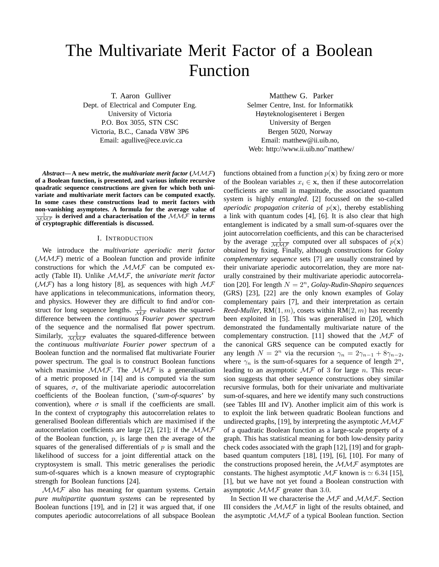# The Multivariate Merit Factor of a Boolean Function

T. Aaron Gulliver

Dept. of Electrical and Computer Eng. University of Victoria P.O. Box 3055, STN CSC Victoria, B.C., Canada V8W 3P6 Email: agullive@ece.uvic.ca

Abstract—A new metric, the *multivariate merit factor*  $(\mathcal{MMF})$ **of a Boolean function, is presented, and various infinite recursive quadratic sequence constructions are given for which both univariate and multivariate merit factors can be computed exactly. In some cases these constructions lead to merit factors with non-vanishing asymptotes. A formula for the average value of**  $\frac{1}{\mathcal{M}\mathcal{M}\mathcal{F}}$  is derived and a characterisation of the  $\mathcal{M}\mathcal{M}\mathcal{F}$  in terms of cryptographic differentials is discussed.

## I. INTRODUCTION

We introduce the *multivariate aperiodic merit factor*  $(MMF)$  metric of a Boolean function and provide infinite constructions for which the  $MMF$  can be computed exactly (Table II). Unlike MMF, the *univariate merit factor* ( $\mathcal{MF}$ ) has a long history [8], as sequences with high  $\mathcal{MF}$ have applications in telecommunications, information theory, and physics. However they are difficult to find and/or construct for long sequence lengths.  $\frac{1}{\mathcal{M}\mathcal{F}}$  evaluates the squareddifference between the *continuous Fourier power spectrum* of the sequence and the normalised flat power spectrum. Similarly,  $\frac{1}{\mathcal{M}\mathcal{M}\mathcal{F}}$  evaluates the squared-difference between the *continuous multivariate Fourier power spectrum* of a Boolean function and the normalised flat multivariate Fourier power spectrum. The goal is to construct Boolean functions which maximise  $MMF$ . The  $MMF$  is a generalisation of a metric proposed in [14] and is computed via the sum of squares,  $\sigma$ , of the multivariate aperiodic autocorrelation coefficients of the Boolean function, ('*sum-of-squares*' by convention), where  $\sigma$  is small if the coefficients are small. In the context of cryptography this autocorrelation relates to generalised Boolean differentials which are maximised if the autocorrelation coefficients are large [2], [21]; if the  $MMF$ of the Boolean function,  $p$ , is large then the average of the squares of the generalised differentials of  $p$  is small and the likelihood of success for a joint differential attack on the cryptosystem is small. This metric generalises the periodic sum-of-squares which is a known measure of cryptographic strength for Boolean functions [24].

 $MMF$  also has meaning for quantum systems. Certain *pure multipartite quantum systems* can be represented by Boolean functions [19], and in [2] it was argued that, if one computes aperiodic autocorrelations of all subspace Boolean Matthew G. Parker

Selmer Centre, Inst. for Informatikk Høyteknologisenteret i Bergen University of Bergen Bergen 5020, Norway Email: matthew@ii.uib.no, Web: http://www.ii.uib.no/~matthew/

functions obtained from a function  $p(x)$  by fixing zero or more of the Boolean variables  $x_i \in \mathbf{x}$ , then if these autocorrelation coefficients are small in magnitude, the associated quantum system is highly *entangled*. [2] focussed on the so-called *aperiodic propagation criteria* of  $p(x)$ , thereby establishing a link with quantum codes [4], [6]. It is also clear that high entanglement is indicated by a small sum-of-squares over the joint autocorrelation coefficients, and this can be characterised by the average  $\frac{1}{\mathcal{M}\mathcal{M}\mathcal{F}}$  computed over all subspaces of  $p(\mathbf{x})$ obtained by fixing. Finally, although constructions for *Golay complementary sequence* sets [7] are usually constrained by their univariate aperiodic autocorrelation, they are more naturally constrained by their multivariate aperiodic autocorrelation [20]. For length  $N = 2<sup>n</sup>$ , *Golay-Rudin-Shapiro sequences* (GRS) [23], [22] are the only known examples of Golay complementary pairs [7], and their interpretation as certain *Reed-Muller*,  $RM(1, m)$ , cosets within  $RM(2, m)$  has recently been exploited in [5]. This was generalised in [20], which demonstrated the fundamentally multivariate nature of the complementary construction. [11] showed that the  $\mathcal{MF}$  of the canonical GRS sequence can be computed exactly for any length  $N = 2^n$  via the recursion  $\gamma_n = 2\gamma_{n-1} + 8\gamma_{n-2}$ , where  $\gamma_n$  is the sum-of-squares for a sequence of length  $2^n$ , leading to an asymptotic  $\mathcal{MF}$  of 3 for large n. This recursion suggests that other sequence constructions obey similar recursive formulas, both for their univariate and multivariate sum-of-squares, and here we identify many such constructions (see Tables III and IV). Another implicit aim of this work is to exploit the link between quadratic Boolean functions and undirected graphs, [19], by interpreting the asymptotic  $MMF$ of a quadratic Boolean function as a large-scale property of a graph. This has statistical meaning for both low-density parity check codes associated with the graph [12], [19] and for graphbased quantum computers [18], [19], [6], [10]. For many of the constructions proposed herein, the  $MMF$  asymptotes are constants. The highest asymptotic  $\mathcal{MF}$  known is  $\simeq 6.34$  [15], [1], but we have not yet found a Boolean construction with asymptotic  $MMF$  greater than 3.0.

In Section II we characterise the  $M\mathcal{F}$  and  $M\mathcal{M}\mathcal{F}$ . Section III considers the  $MMF$  in light of the results obtained, and the asymptotic  $MMF$  of a typical Boolean function. Section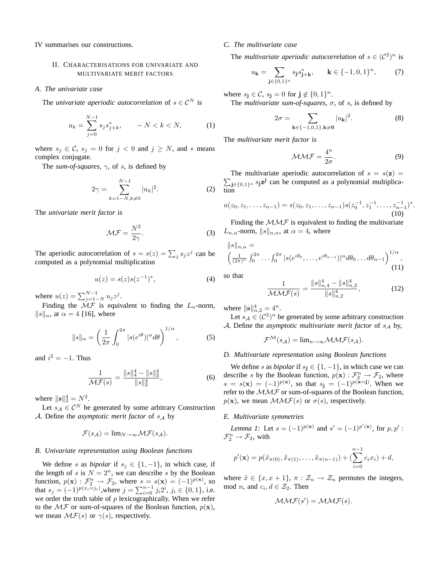IV summarises our constructions.

# II. CHARACTERISATIONS FOR UNIVARIATE AND MULTIVARIATE MERIT FACTORS

*A. The univariate case*

The *univariate aperiodic autocorrelation* of  $s \in \mathcal{C}^N$  is

$$
u_k = \sum_{j=0}^{N-1} s_j s_{j+k}^*, \qquad -N < k < N,\tag{1}
$$

where  $s_j \in \mathcal{C}$ ,  $s_j = 0$  for  $j < 0$  and  $j \ge N$ , and  $*$  means complex conjugate.

The *sum-of-squares*, γ, of s, is defined by

$$
2\gamma = \sum_{k=1-N, k \neq 0}^{N-1} |u_k|^2.
$$
 (2)

The *univariate merit factor* is

$$
\mathcal{MF} = \frac{N^2}{2\gamma}.
$$
 (3)

The aperiodic autocorrelation of  $s = s(z) = \sum_j s_j z^j$  can be computed as a polynomial multiplication

$$
u(z) = s(z)s(z^{-1})^*,
$$
 (4)

where  $u(z) = \sum_{j=1-N}^{N-1} u_j z^j$ .

Finding the  $\mathcal{M}\mathcal{F}$  is equivalent to finding the  $L_{\alpha}$ -norm,  $||s||_{\alpha}$ , at  $\alpha = 4$  [16], where

$$
||s||_{\alpha} = \left(\frac{1}{2\pi} \int_0^{2\pi} |s(e^{i\theta})|^\alpha d\theta\right)^{1/\alpha},\tag{5}
$$

and  $i^2 = -1$ . Thus

$$
\frac{1}{\mathcal{MF}(s)} = \frac{\|s\|_4^4 - \|s\|_2^4}{\|s\|_2^4},\tag{6}
$$

where  $\|\mathbf{s}\|_2^4 = N^2$ .

Let  $s_A \in \mathcal{C}^N$  be generated by some arbitrary Construction A. Define the *asymptotic merit factor* of  $s_A$  by

$$
\mathcal{F}(s_{\mathcal{A}}) = \lim_{N \to \infty} \mathcal{MF}(s_{\mathcal{A}}).
$$

## *B. Univariate representation using Boolean functions*

We define s as *bipolar* if  $s_j \in \{1, -1\}$ , in which case, if the length of s is  $N = 2<sup>n</sup>$ , we can describe s by the Boolean function,  $p(\mathbf{x}) : \mathcal{F}_2^n \to \mathcal{F}_2$ , where  $s = s(\mathbf{x}) = (-1)^{p(\mathbf{x})}$ , so that  $s_j = (-1)^{p(x_i=j_i)}$ , where  $j = \sum_{i=0}^{n-1} j_i 2^i$ ,  $j_i \in \{0, 1\}$ , i.e. we order the truth table of  $p$  lexicographically. When we refer to the  $\mathcal{MF}$  or sum-of-squares of the Boolean function,  $p(\mathbf{x})$ , we mean  $\mathcal{MF}(s)$  or  $\gamma(s)$ , respectively.

## *C. The multivariate case*

The *multivariate aperiodic autocorrelation* of  $s \in (\mathcal{C}^2)^n$  is

$$
u_{\mathbf{k}} = \sum_{\mathbf{j} \in \{0,1\}^n} s_{\mathbf{j}} s_{\mathbf{j}+\mathbf{k}}^*, \qquad \mathbf{k} \in \{-1,0,1\}^n, \tag{7}
$$

where  $s_j \in \mathcal{C}$ ,  $s_j = 0$  for  $j \notin \{0, 1\}^n$ .

The *multivariate sum-of-squares*, σ, of s, is defined by

$$
2\sigma = \sum_{\mathbf{k}\in\{-1,0,1\},\mathbf{k}\neq\mathbf{0}} |u_{\mathbf{k}}|^2.
$$
 (8)

The *multivariate merit factor* is

$$
\mathcal{M}\mathcal{M}\mathcal{F} = \frac{4^n}{2\sigma}.
$$
 (9)

 $\sum_{\mathbf{j}\in\{0,1\}^n} s_{\mathbf{j}}\mathbf{z}^{\mathbf{j}}$  can be computed as a polynomial multiplica-The multivariate aperiodic autocorrelation of  $s = s(\mathbf{z}) =$ tion

$$
u(z_0, z_1, \ldots, z_{n-1}) = s(z_0, z_1, \ldots, z_{n-1}) s(z_0^{-1}, z_1^{-1}, \ldots, z_{n-1}^{-1})^*.
$$
  
(10)

Finding the  $MMF$  is equivalent to finding the multivariate  $L_{n,\alpha}$ -norm,  $||s||_{n,\alpha}$ , at  $\alpha = 4$ , where

$$
||s||_{n,\alpha} =
$$
  

$$
\left(\frac{1}{(2\pi)^n} \int_0^{2\pi} \cdots \int_0^{2\pi} |s(e^{i\theta_0}, \dots, e^{i\theta_{n-1}})|^\alpha d\theta_0 \dots d\theta_{n-1}\right)^{1/\alpha},
$$
  
(11)

so that

$$
\frac{1}{\mathcal{M}\mathcal{M}\mathcal{F}(s)} = \frac{\|s\|_{n,4}^4 - \|s\|_{n,2}^4}{\|s\|_{n,2}^4},\tag{12}
$$

where  $\|\mathbf{s}\|_{n,2}^4 = 4^n$ .

Let  $s_A \in C^2$ <sup>n</sup> be generated by some arbitrary construction A. Define the *asymptotic multivariate merit factor* of  $s_A$  by,

$$
\mathcal{F}^{\mathcal{M}}(s_{\mathcal{A}}) = \lim_{n \to \infty} \mathcal{MMF}(s_{\mathcal{A}}).
$$

#### *D. Multivariate representation using Boolean functions*

We define *s* as *bipolar* if  $s_j \in \{1, -1\}$ , in which case we can describe s by the Boolean function,  $p(\mathbf{x}) : \mathcal{F}_2^n \to \mathcal{F}_2$ , where  $s = s(\mathbf{x}) = (-1)^{p(\mathbf{x})}$ , so that  $s_j = (-1)^{p(\mathbf{x}-j)}$ . When we refer to the  $MMF$  or sum-of-squares of the Boolean function,  $p(\mathbf{x})$ , we mean  $\mathcal{MMF}(s)$  or  $\sigma(s)$ , respectively.

## *E. Multivariate symmetries*

*Lemma 1:* Let  $s = (-1)^{p(x)}$  and  $s' = (-1)^{p'(x)}$ , for  $p, p'$ :  $\mathcal{F}_2^n \to \mathcal{F}_2$ , with

$$
p'(\mathbf{x}) = p(\tilde{x}_{\pi(0)}, \tilde{x}_{\pi(1)}, \dots, \tilde{x}_{\pi(n-1)}) + (\sum_{i=0}^{n-1} c_i x_i) + d,
$$

where  $\tilde{x} \in \{x, x+1\}, \pi : \mathcal{Z}_n \to \mathcal{Z}_n$  permutes the integers, mod *n*, and  $c_i, d \in \mathcal{Z}_2$ . Then

$$
\mathcal{MMF}(s') = \mathcal{MMF}(s).
$$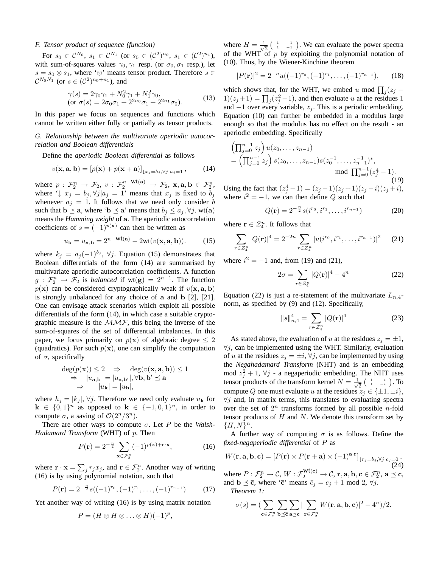# *F. Tensor product of sequence (function)*

For  $s_0 \in \mathcal{C}^{N_0}$ ,  $s_1 \in \mathcal{C}^{N_1}$  (or  $s_0 \in (\mathcal{C}^2)^{n_0}$ ,  $s_1 \in (\mathcal{C}^2)^{n_1}$ ), with sum-of-squares values  $\gamma_0, \gamma_1$  resp. (or  $\sigma_0, \sigma_1$  resp.), let  $s = s_0 \otimes s_1$ , where ' $\otimes$ ' means tensor product. Therefore  $s \in$  $\mathcal{C}^{N_0 N_1}$  (or  $s \in (\mathcal{C}^2)^{n_0+n_1}$ ), and

$$
\gamma(s) = 2\gamma_0 \gamma_1 + N_0^2 \gamma_1 + N_1^2 \gamma_0, \n\text{(or } \sigma(s) = 2\sigma_0 \sigma_1 + 2^{2n_0} \sigma_1 + 2^{2n_1} \sigma_0).
$$
\n(13)

In this paper we focus on sequences and functions which cannot be written either fully or partially as tensor products.

# *G. Relationship between the multivariate aperiodic autocorrelation and Boolean differentials*

Define the *aperiodic Boolean differential* as follows

$$
v(\mathbf{x}, \mathbf{a}, \mathbf{b}) = [p(\mathbf{x}) + p(\mathbf{x} + \mathbf{a})]_{\downarrow x_j = b_j, \forall j \mid a_j = 1}, \quad (14)
$$

where  $p : \mathcal{F}_2^n \to \mathcal{F}_2$ ,  $v : \mathcal{F}_2^{n-Wt(a)} \to \mathcal{F}_2$ ,  $\mathbf{x}, \mathbf{a}, \mathbf{b} \in \mathcal{F}_2^n$ , where ' $\downarrow x_j = b_j, \forall j | a_j = 1$ ' means that  $x_j$  is fixed to  $b_j$ whenever  $a_i = 1$ . It follows that we need only consider b such that  $\mathbf{b} \preceq \mathbf{a}$ , where ' $\mathbf{b} \preceq \mathbf{a}'$ ' means that  $b_j \leq a_j, \forall j$ . wt $(\mathbf{a})$ means the *Hamming weight* of a. The aperiodic autocorrelation coefficients of  $s = (-1)^{p(x)}$  can then be written as

$$
u_{\mathbf{k}} = u_{\mathbf{a},\mathbf{b}} = 2^{n-\text{wt}(\mathbf{a})} - 2\text{wt}(v(\mathbf{x}, \mathbf{a}, \mathbf{b})).
$$
 (15)

where  $k_j = a_j(-1)^{b_j}$ ,  $\forall j$ . Equation (15) demonstrates that Boolean differentials of the form (14) are summarised by multivariate aperiodic autocorrelation coefficients. A function  $g: \mathcal{F}_2^n \to \mathcal{F}_2$  is *balanced* if wt(g) =  $2^{n-1}$ . The function  $p(x)$  can be considered cryptographically weak if  $v(x, a, b)$ is strongly unbalanced for any choice of a and b [2], [21]. One can envisage attack scenarios which exploit all possible differentials of the form (14), in which case a suitable cryptographic measure is the  $MMF$ , this being the inverse of the sum-of-squares of the set of differential imbalances. In this paper, we focus primarily on  $p(x)$  of algebraic degree  $\leq 2$ (quadratics). For such  $p(x)$ , one can simplify the computation of  $\sigma$ , specifically

$$
\deg(p(\mathbf{x})) \le 2 \Rightarrow \deg(v(\mathbf{x}, \mathbf{a}, \mathbf{b})) \le 1 \n\Rightarrow |u_{\mathbf{a}, \mathbf{b}}| = |u_{\mathbf{a}, \mathbf{b'}}|, \forall \mathbf{b}, \mathbf{b'} \preceq \mathbf{a} \n\Rightarrow |u_{\mathbf{k}}| = |u_{\mathbf{h}}|,
$$

where  $h_j = |k_j|$ ,  $\forall j$ . Therefore we need only evaluate  $u_k$  for  $\mathbf{k} \in \{0,1\}^n$  as opposed to  $\mathbf{k} \in \{-1,0,1\}^n$ , in order to compute  $\sigma$ , a saving of  $\mathcal{O}(2^n/3^n)$ .

There are other ways to compute  $\sigma$ . Let P be the *Walsh*-*Hadamard Transform* (WHT) of p. Then

$$
P(\mathbf{r}) = 2^{-\frac{n}{2}} \sum_{\mathbf{x} \in \mathcal{F}_2^n} (-1)^{p(\mathbf{x}) + \mathbf{r} \cdot \mathbf{x}},\tag{16}
$$

where  $\mathbf{r} \cdot \mathbf{x} = \sum_j r_j x_j$ , and  $\mathbf{r} \in \mathcal{F}_2^n$ . Another way of writing (16) is by using polynomial notation, such that

$$
P(\mathbf{r}) = 2^{-\frac{n}{2}} s((-1)^{r_0}, (-1)^{r_1}, \dots, (-1)^{r_{n-1}})
$$
 (17)

Yet another way of writing (16) is by using matrix notation

$$
P=(H\otimes H\otimes\ldots\otimes H)(-1)^p,
$$

where  $H = \frac{1}{\sqrt{2}}$  $\frac{1}{2}$  $\begin{pmatrix} 1 & 1 \\ 1 & -1 \end{pmatrix}$ . We can evaluate the power spectra of the WHT of  $p$  by exploiting the polynomial notation of (10). Thus, by the Wiener-Kinchine theorem

$$
|P(\mathbf{r})|^2 = 2^{-n}u((-1)^{r_0}, (-1)^{r_1}, \dots, (-1)^{r_{n-1}}), \quad (18)
$$

which shows that, for the WHT, we embed u mod  $\prod_j (z_j 1(z_j+1) = \prod_j (z_j^2-1)$ , and then evaluate u at the residues 1 and  $-1$  over every variable,  $z_i$ . This is a periodic embedding. Equation (10) can further be embedded in a modulus large enough so that the modulus has no effect on the result - an aperiodic embedding. Specifically

$$
\left(\prod_{j=0}^{n-1} z_j\right) u(z_0, \dots, z_{n-1})
$$
\n
$$
= \left(\prod_{j=0}^{n-1} z_j\right) s(z_0, \dots, z_{n-1}) s(z_0^{-1}, \dots, z_{n-1}^{-1})^*,
$$
\n
$$
\text{mod } \prod_{j=0}^{n-1} (z_j^4 - 1).
$$
\n(19)

Using the fact that  $(z_j^4 - 1) = (z_j - 1)(z_j + 1)(z_j - i)(z_j + i)$ , where  $i^2 = -1$ , we can then define Q such that

$$
Q(\mathbf{r}) = 2^{-\frac{n}{2}} s(i^{r_0}, i^{r_1}, \dots, i^{r_{n-1}})
$$
 (20)

where  $\mathbf{r} \in \mathcal{Z}_4^n$ . It follows that

$$
\sum_{r \in \mathcal{Z}_4^n} |Q(\mathbf{r})|^4 = 2^{-2n} \sum_{r \in \mathcal{Z}_4^n} |u(i^{r_0}, i^{r_1}, \dots, i^{r_{n-1}})|^2 \qquad (21)
$$

where  $i^2 = -1$  and, from (19) and (21),

$$
2\sigma = \sum_{r \in \mathcal{Z}_4^n} |Q(\mathbf{r})|^4 - 4^n \tag{22}
$$

Equation (22) is just a re-statement of the multivariate  $L_{n,4}$ norm, as specified by (9) and (12). Specifically,

$$
||s||_{n,4}^{4} = \sum_{r \in \mathcal{Z}_4^n} |Q(\mathbf{r})|^4
$$
 (23)

As stated above, the evaluation of u at the residues  $z_i = \pm 1$ ,  $\forall j$ , can be implemented using the WHT. Similarly, evaluation of u at the residues  $z_i = \pm i$ ,  $\forall j$ , can be implemented by using the *Negahadamard Transform* (NHT) and is an embedding mod  $z_j^2 + 1$ ,  $\forall j$  - a negaperiodic embedding. The NHT uses tensor products of the transform kernel  $N = \frac{1}{\sqrt{2}}$  $\frac{1}{2}$   $\begin{pmatrix} 1 & i \ 1 & -i \end{pmatrix}$ . To compute Q one must evaluate u at the residues  $z_i \in \{\pm 1, \pm i\},\$  $\forall j$  and, in matrix terms, this translates to evaluating spectra over the set of  $2^n$  transforms formed by all possible *n*-fold tensor products of  $H$  and  $N$ . We denote this transform set by  ${H, N}^n$ .

A further way of computing  $\sigma$  is as follows. Define the *fixed-negaperiodic differential* of P as

$$
W(\mathbf{r}, \mathbf{a}, \mathbf{b}, \mathbf{c}) = [P(\mathbf{r}) \times P(\mathbf{r} + \mathbf{a}) \times (-1)^{\mathbf{a} \cdot \mathbf{r}}]_{\downarrow r_j = b_j, \forall j \mid c_j = 0},
$$
\n(24)

where  $P: \mathcal{F}_2^n \to \mathcal{C}, W: \mathcal{F}_2^{\text{wt}(c)} \to \mathcal{C}, r, a, b, c \in \mathcal{F}_2^n, a \preceq c$ , and  $\mathbf{b} \preceq \bar{\mathbf{c}}$ , where ' $\bar{\mathbf{c}}$ ' means  $\bar{c}_j = c_j + 1 \mod 2$ ,  $\forall j$ .

*Theorem 1:*

$$
\sigma(s) = \left(\sum_{\mathbf{c}\in\mathcal{F}_2^n} \sum_{\mathbf{b}\preceq\overline{\mathbf{c}}} \sum_{\mathbf{a}\preceq\mathbf{c}} |\sum_{\mathbf{r}\in\mathcal{F}_2^n} W(\mathbf{r}, \mathbf{a}, \mathbf{b}, \mathbf{c})|^2 - 4^n\right)/2.
$$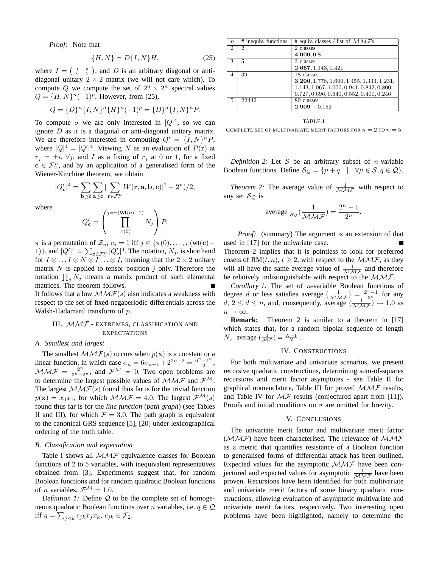*Proof:* Note that

$$
\{H, N\} = D\{I, N\}H,\tag{25}
$$

where  $I = \begin{pmatrix} 1 & 0 \\ 0 & 1 \end{pmatrix}$ , and D is an arbitrary diagonal or antidiagonal unitary  $2 \times 2$  matrix (we will not care which). To compute Q we compute the set of  $2^n \times 2^n$  spectral values  $Q = \{H, N\}^n (-1)^p$ . However, from (25),

$$
Q = \{D\}^n \{I, N\}^n \{H\}^n (-1)^p = \{D\}^n \{I, N\}^n P.
$$

To compute  $\sigma$  we are only interested in  $|Q|^4$ , so we can ignore  $D$  as it is a diagonal or anti-diagonal unitary matrix. We are therefore interested in computing  $Q' = \{I, N\}^n P$ , where  $|Q|^4 = |Q'|^4$ . Viewing N as an evaluation of  $P(\mathbf{r})$  at  $r_j = \pm i$ ,  $\forall j$ , and I as a fixing of  $r_j$  at 0 or 1, for a fixed  $c \in \mathcal{F}_2^n$ , and by an application of a generalised form of the Wiener-Kinchine theorem, we obtain

$$
|Q'_{\mathbf{c}}|^4 = \sum_{\mathbf{b}\preceq \overline{\mathbf{c}}}\sum_{\mathbf{a}\preceq \mathbf{c}}|\sum_{\mathbf{r}\in\mathcal{F}_2^n}W(\mathbf{r}, \mathbf{a}, \mathbf{b}, \mathbf{c})|^2 - 2^n)/2,
$$

where

$$
Q'_{\mathbf{c}} = \left(\prod_{\pi(0)}^{j=\pi(\mathbf{Wt}(\mathbf{c})-1)} N_j\right) P,
$$

 $\pi$  is a permutation of  $\mathcal{Z}_n$ ,  $c_j = 1$  iff  $j \in \{\pi(0), \ldots, \pi(\text{wt}(\textbf{c})-\}$ 1)}, and  $|Q'|^4 = \sum_{\mathbf{c} \in \mathcal{F}_2^n} |Q'_{\mathbf{c}}|^4$ . The notation,  $N_j$ , is shorthand for  $I \otimes ... I \otimes N \otimes I ... \otimes I$ , meaning that the  $2 \times 2$  unitary matrix  $N$  is applied to tensor position  $j$  only. Therefore the notation  $\prod_j N_j$  means a matrix product of such elemental matrices. The theorem follows.

It follows that a low  $MMF(s)$  also indicates a weakness with respect to the set of fixed-negaperiodic differentials across the Walsh-Hadamard transform of p.

# III. MMF - EXTREMES, CLASSIFICATION AND **EXPECTATIONS**

## *A. Smallest and largest*

The smallest  $MMF(s)$  occurs when  $p(x)$  is a constant or a linear function, in which case  $\sigma_n = 6\sigma_{n-1} + 2^{2n-2} = \frac{6^n - 4^n}{2}$  $\frac{-4^{n}}{2}$ ,  $MMF = \frac{2^n}{3^n - 2^n}$ , and  $\mathcal{F}^M = 0$ . Two open problems are to determine the largest possible values of  $MMF$  and  $F^M$ . The largest  $MMF(s)$  found thus far is for the trivial function  $p(\mathbf{x}) = x_0 x_1$ , for which  $M \mathcal{M} \mathcal{F} = 4.0$ . The largest  $\mathcal{F}^{\mathcal{M}}(s)$ found thus far is for the *line function* (*path graph*) (see Tables II and III), for which  $\mathcal{F} = 3.0$ . The path graph is equivalent to the canonical GRS sequence [5], [20] under lexicographical ordering of the truth table.

## *B. Classification and expectation*

Table I shows all  $MMF$  equivalence classes for Boolean functions of 2 to 5 variables, with inequivalent representatives obtained from [3]. Experiments suggest that, for random Boolean functions and for random quadratic Boolean functions of *n* variables,  $\mathcal{F}^{\mathcal{M}} = 1.0$ .

*Definition 1:* Define Q to be the complete set of homogeneous quadratic Boolean functions over n variables, i.e.  $q \in \mathcal{Q}$ iff  $q = \sum_{j < k} c_{jk} x_j x_k, \, c_{jk} \in \mathcal{F}_2.$ 

 $n \mid #$  inequiv. functions  $#$  equiv. classes / list of  $MM\mathcal{F}s$  $2 \overline{2}$  2 4.000, 0.8 3 | 5 | 3 classes 2.667, 1.143, 0.421 4 39 18 classes 3.200, 1.778, 1.600, 1.455, 1.333, 1.231, 1.143, 1.067, 1.000, 0.941, 0.842, 0.800, 0.727, 0.696, 0.640, 0.552, 0.400, 0.246 5 22442 80 classes  $2.909 - 0.152$ 

## TABLE I

COMPLETE SET OF MULTIVARIATE MERIT FACTORS FOR  $n=2$  TO  $n=5$ 

*Definition 2:* Let  $S$  be an arbitrary subset of *n*-variable Boolean functions. Define  $\mathcal{S}_{\mathcal{Q}} = {\mu + q \mid \forall \mu \in \mathcal{S}, q \in \mathcal{Q}}$ .

*Theorem 2:* The average value of  $\frac{1}{\mathcal{M} \mathcal{M} \mathcal{F}}$  with respect to any set  $S_Q$  is

$$
\text{average } \underset{\mathcal{S}_{\mathcal{Q}}} \big(\frac{1}{\mathcal{M} \mathcal{M} \mathcal{F}}\big) = \frac{2^n-1}{2^n}.
$$

*Proof:* (summary) The argument is an extension of that used in [17] for the univariate case. Theorem 2 implies that it is pointless to look for preferred cosets of RM $(t, n)$ ,  $t \geq 2$ , with respect to the  $\mathcal{MMF}$ , as they will all have the same average value of  $\frac{1}{\mathcal{M}\mathcal{M}\mathcal{F}}$  and therefore be relatively indistinguishable with respect to the  $MMF$ .

*Corollary 1:* The set of n-variable Boolean functions of degree d or less satisfies average  $\left(\frac{1}{\mathcal{M}\mathcal{M}\mathcal{F}}\right) = \frac{2^{n}-1}{2^{n}}$  for any  $d, 2 \le d \le n$ , and, consequently, average  $\left(\frac{1}{\mathcal{M}\mathcal{M}\mathcal{F}}\right) \rightarrow 1.0$  as  $n \to \infty$ .

**Remark:** Theorem 2 is similar to a theorem in [17] which states that, for a random bipolar sequence of length *N*, average  $\left(\frac{1}{\mathcal{M}\mathcal{F}}\right) = \frac{N-1}{N}$ .

## IV. CONSTRUCTIONS

For both multivariate and univariate scenarios, we present recursive quadratic constructions, determining sum-of-squares recursions and merit factor asymptotes - see Table II for graphical nomenclature, Table III for proved  $MMF$  results, and Table IV for  $\mathcal{MF}$  results (conjectured apart from [11]). Proofs and initial conditions on  $\sigma$  are omitted for brevity.

## V. CONCLUSIONS

The univariate merit factor and multivariate merit factor  $(MMF)$  have been characterised. The relevance of  $MMF$ as a metric that quantifies resistance of a Boolean function to generalised forms of differential attack has been outlined. Expected values for the asymptotic MMF have been conjectured and expected values for asymptotic  $\frac{1}{\mathcal{M}\mathcal{M}\mathcal{F}}$  have been proven. Recursions have been identified for both multivariate and univariate merit factors of some binary quadratic constructions, allowing evaluation of asymptotic multivariate and univariate merit factors, respectively. Two interesting open problems have been highlighted, namely to determine the